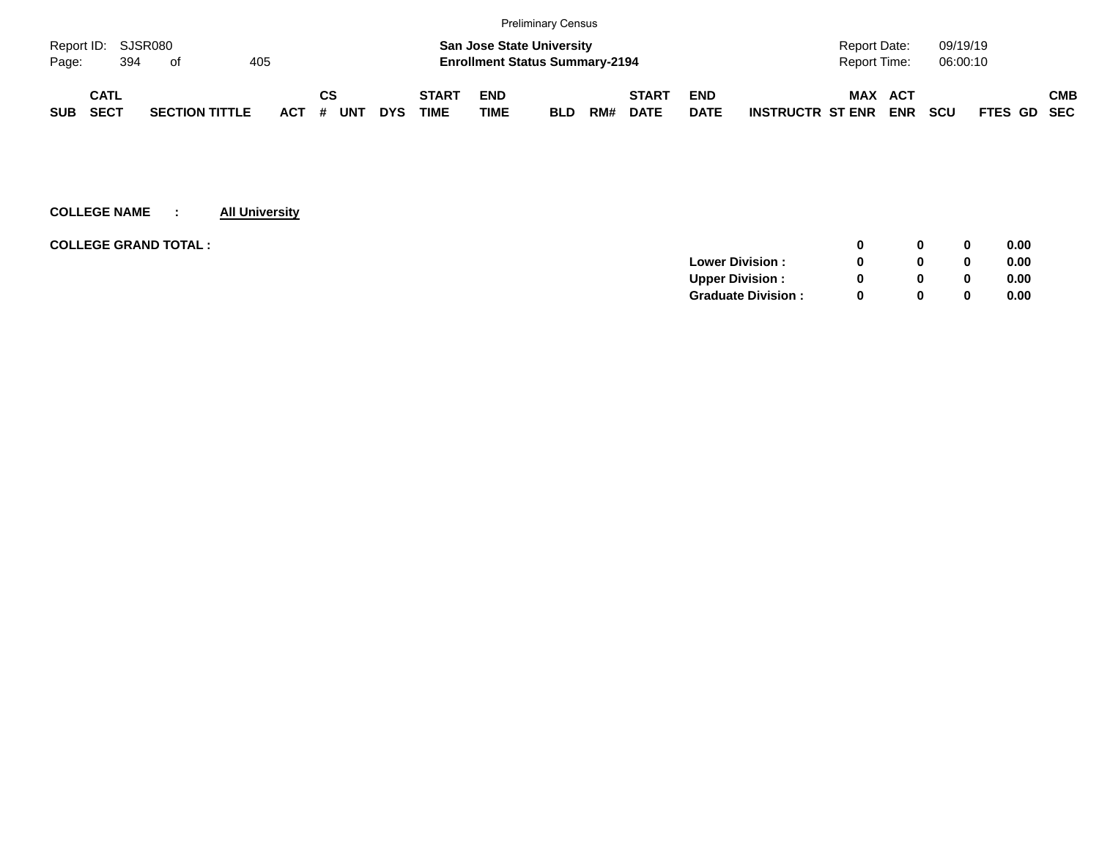|            |             |                    |                       |            |     |            |            |              |                                       | <b>Preliminary Census</b> |     |              |             |                         |              |            |            |                    |            |
|------------|-------------|--------------------|-----------------------|------------|-----|------------|------------|--------------|---------------------------------------|---------------------------|-----|--------------|-------------|-------------------------|--------------|------------|------------|--------------------|------------|
|            |             | Report ID: SJSR080 |                       |            |     |            |            |              | <b>San Jose State University</b>      |                           |     |              |             |                         | Report Date: |            | 09/19/19   |                    |            |
| Page:      | 394         | - of               | 405                   |            |     |            |            |              | <b>Enrollment Status Summary-2194</b> |                           |     |              |             |                         | Report Time: |            | 06:00:10   |                    |            |
|            | <b>CATL</b> |                    |                       |            | СS  |            |            | <b>START</b> | <b>END</b>                            |                           |     | <b>START</b> | <b>END</b>  |                         | MAX          | <b>ACT</b> |            |                    | <b>CMB</b> |
| <b>SUB</b> | <b>SECT</b> |                    | <b>SECTION TITTLE</b> | <b>ACT</b> | . # | <b>UNT</b> | <b>DYS</b> | <b>TIME</b>  | <b>TIME</b>                           | <b>BLD</b>                | RM# | <b>DATE</b>  | <b>DATE</b> | <b>INSTRUCTR ST ENR</b> |              | <b>ENR</b> | <b>SCU</b> | <b>FTES GD SEC</b> |            |

|              | 0 | 0.00 |
|--------------|---|------|
|              | 0 | 0.00 |
| <sup>0</sup> | 0 | 0.00 |
| $\Omega$     | 0 | 0.00 |
|              |   |      |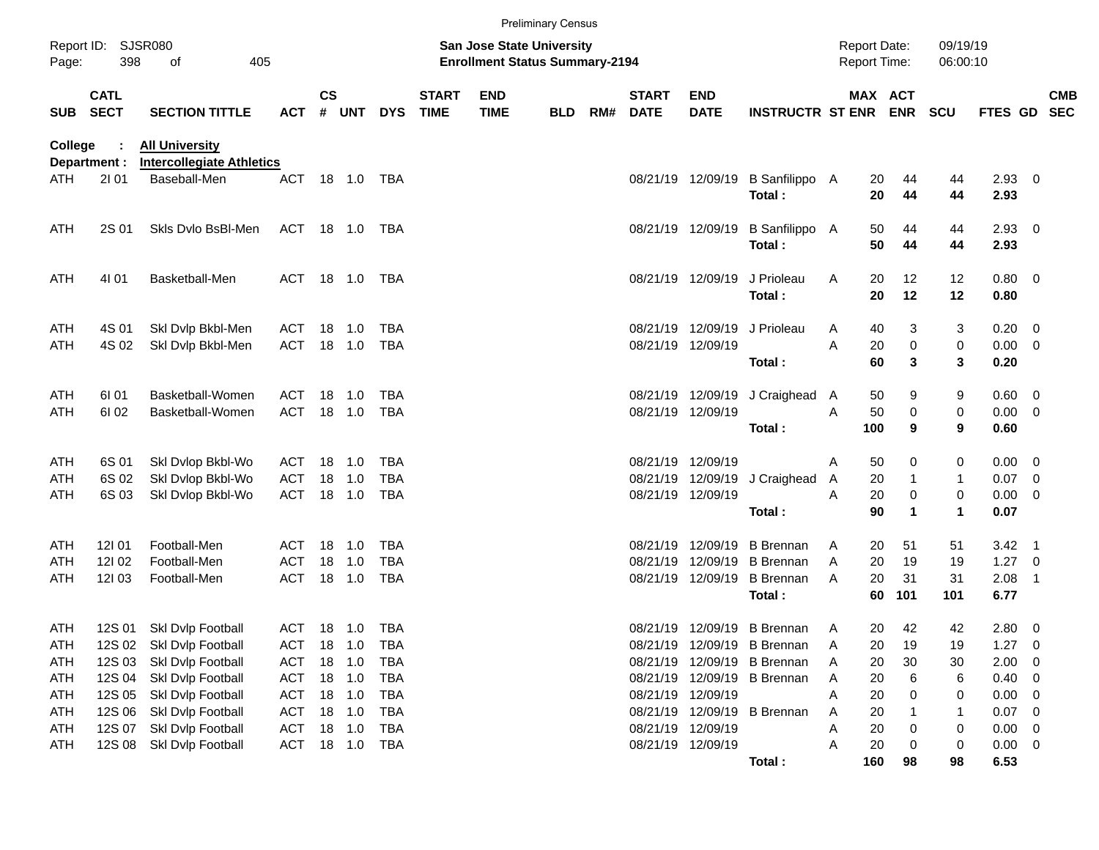|            |                            |                                                  |                          |               |            |                          |                             |                                                                           | <b>Preliminary Census</b> |     |                             |                               |                            |        |                                            |                |                      |              |                            |                          |
|------------|----------------------------|--------------------------------------------------|--------------------------|---------------|------------|--------------------------|-----------------------------|---------------------------------------------------------------------------|---------------------------|-----|-----------------------------|-------------------------------|----------------------------|--------|--------------------------------------------|----------------|----------------------|--------------|----------------------------|--------------------------|
| Page:      | Report ID: SJSR080<br>398  | 405<br>οf                                        |                          |               |            |                          |                             | <b>San Jose State University</b><br><b>Enrollment Status Summary-2194</b> |                           |     |                             |                               |                            |        | <b>Report Date:</b><br><b>Report Time:</b> |                | 09/19/19<br>06:00:10 |              |                            |                          |
| <b>SUB</b> | <b>CATL</b><br><b>SECT</b> | <b>SECTION TITTLE</b>                            | <b>ACT</b>               | $\mathsf{cs}$ | # UNT      | <b>DYS</b>               | <b>START</b><br><b>TIME</b> | <b>END</b><br><b>TIME</b>                                                 | <b>BLD</b>                | RM# | <b>START</b><br><b>DATE</b> | <b>END</b><br><b>DATE</b>     | <b>INSTRUCTR ST ENR</b>    |        | MAX ACT                                    | <b>ENR</b>     | <b>SCU</b>           | FTES GD      |                            | <b>CMB</b><br><b>SEC</b> |
| College    | ÷                          | <b>All University</b>                            |                          |               |            |                          |                             |                                                                           |                           |     |                             |                               |                            |        |                                            |                |                      |              |                            |                          |
| ATH        | Department :<br>2101       | <b>Intercollegiate Athletics</b><br>Baseball-Men | <b>ACT</b>               |               | 18  1.0    | TBA                      |                             |                                                                           |                           |     | 08/21/19                    | 12/09/19                      | B Sanfilippo A<br>Total:   |        | 20<br>20                                   | 44<br>44       | 44<br>44             | 2.93<br>2.93 | - 0                        |                          |
| ATH        | 2S 01                      | Skls Dvlo BsBI-Men                               | ACT                      |               | 18  1.0    | TBA                      |                             |                                                                           |                           |     |                             | 08/21/19 12/09/19             | B Sanfilippo A<br>Total:   |        | 50<br>50                                   | 44<br>44       | 44<br>44             | 2.93<br>2.93 | - 0                        |                          |
| <b>ATH</b> | 4101                       | Basketball-Men                                   | <b>ACT</b>               |               | 18  1.0    | TBA                      |                             |                                                                           |                           |     |                             | 08/21/19 12/09/19             | J Prioleau<br>Total:       | Α      | 20<br>20                                   | 12<br>12       | 12<br>12             | 0.80<br>0.80 | $\overline{\mathbf{0}}$    |                          |
| ATH<br>ATH | 4S 01<br>4S 02             | Skl Dvlp Bkbl-Men<br>Skl Dvlp Bkbl-Men           | <b>ACT</b><br><b>ACT</b> | 18<br>18      | 1.0<br>1.0 | <b>TBA</b><br><b>TBA</b> |                             |                                                                           |                           |     | 08/21/19                    | 12/09/19<br>08/21/19 12/09/19 | J Prioleau                 | A<br>Α | 40<br>20                                   | 3<br>$\pmb{0}$ | 3<br>0               | 0.20<br>0.00 | - 0<br>0                   |                          |
|            |                            |                                                  |                          |               |            |                          |                             |                                                                           |                           |     |                             |                               | Total:                     |        | 60                                         | 3              | 3                    | 0.20         |                            |                          |
| ATH        | 61 01                      | Basketball-Women                                 | <b>ACT</b>               | 18            | 1.0        | TBA                      |                             |                                                                           |                           |     | 08/21/19                    | 12/09/19                      | J Craighead                | A      | 50                                         | 9              | 9                    | 0.60         | - 0                        |                          |
| ATH        | 61 02                      | Basketball-Women                                 | <b>ACT</b>               | 18            | 1.0        | <b>TBA</b>               |                             |                                                                           |                           |     |                             | 08/21/19 12/09/19             | Total:                     | Α      | 50<br>100                                  | 0<br>9         | 0<br>9               | 0.00<br>0.60 | 0                          |                          |
| ATH        | 6S 01                      | Skl Dvlop Bkbl-Wo                                | <b>ACT</b>               | 18            | 1.0        | TBA                      |                             |                                                                           |                           |     | 08/21/19                    | 12/09/19                      |                            | A      | 50                                         | 0              | 0                    | 0.00         | 0                          |                          |
| ATH        | 6S 02                      | Skl Dvlop Bkbl-Wo                                | <b>ACT</b>               | 18            | 1.0        | <b>TBA</b>               |                             |                                                                           |                           |     | 08/21/19                    | 12/09/19                      | J Craighead                | A      | 20                                         | $\mathbf{1}$   | $\mathbf{1}$         | 0.07         | 0                          |                          |
| ATH        | 6S 03                      | Skl Dvlop Bkbl-Wo                                | <b>ACT</b>               | 18            | 1.0        | <b>TBA</b>               |                             |                                                                           |                           |     |                             | 08/21/19 12/09/19             | Total:                     | Α      | 20<br>90                                   | $\pmb{0}$<br>1 | 0<br>$\mathbf 1$     | 0.00<br>0.07 | 0                          |                          |
| ATH        | 12101                      | Football-Men                                     | <b>ACT</b>               | 18            | 1.0        | <b>TBA</b>               |                             |                                                                           |                           |     | 08/21/19                    | 12/09/19                      | <b>B</b> Brennan           | A      | 20                                         | 51             | 51                   | 3.42         | $\overline{\phantom{1}}$   |                          |
| ATH        | 121 02                     | Football-Men                                     | <b>ACT</b>               | 18            | 1.0        | <b>TBA</b>               |                             |                                                                           |                           |     | 08/21/19                    | 12/09/19                      | <b>B</b> Brennan           | A      | 20                                         | 19             | 19                   | 1.27         | 0                          |                          |
| ATH        | 121 03                     | Football-Men                                     | <b>ACT</b>               | 18            | 1.0        | <b>TBA</b>               |                             |                                                                           |                           |     | 08/21/19                    | 12/09/19                      | <b>B</b> Brennan<br>Total: | A      | 20<br>60                                   | 31<br>101      | 31<br>101            | 2.08<br>6.77 | $\overline{\phantom{0}}$ 1 |                          |
| <b>ATH</b> | 12S 01                     | Skl Dvlp Football                                | <b>ACT</b>               |               |            | TBA                      |                             |                                                                           |                           |     | 08/21/19                    | 12/09/19                      | <b>B</b> Brennan           | A      | 20                                         | 42             | 42                   | 2.80         | $\overline{0}$             |                          |
| ATH        |                            | 12S 02 Skl Dvlp Football                         | ACT                      | 18            | 1.0        | TBA                      |                             |                                                                           |                           |     | 08/21/19                    | 12/09/19                      | <b>B</b> Brennan           | A      | 20                                         | 19             | 19                   | 1.27         | 0                          |                          |
| ATH        | 12S 03                     | Skl Dvlp Football                                | ACT                      |               | 18 1.0     | <b>TBA</b>               |                             |                                                                           |                           |     | 08/21/19                    | 12/09/19                      | <b>B</b> Brennan           | A      | 20                                         | 30             | 30                   | 2.00         | 0                          |                          |
| ATH        | 12S 04                     | Skl Dvlp Football                                | ACT                      |               | 18 1.0     | <b>TBA</b>               |                             |                                                                           |                           |     | 08/21/19                    | 12/09/19                      | <b>B</b> Brennan           | A      | 20                                         | 6              | 6                    | 0.40         | 0                          |                          |
| ATH        | 12S 05                     | Skl Dvlp Football                                | <b>ACT</b>               |               | 18 1.0     | <b>TBA</b>               |                             |                                                                           |                           |     | 08/21/19                    | 12/09/19                      |                            | Α      | 20                                         | 0              | 0                    | 0.00         | 0                          |                          |
| ATH        | 12S 06                     | Skl Dvlp Football                                | <b>ACT</b>               |               | 18 1.0     | <b>TBA</b>               |                             |                                                                           |                           |     | 08/21/19<br>08/21/19        | 12/09/19                      | <b>B</b> Brennan           | A      | 20                                         | 1              | 1                    | 0.07         | 0                          |                          |
| ATH<br>ATH | 12S 07<br>12S 08           | Skl Dvlp Football<br>Skl Dvlp Football           | <b>ACT</b><br>ACT 18 1.0 |               | 18 1.0     | <b>TBA</b><br>TBA        |                             |                                                                           |                           |     |                             | 12/09/19<br>08/21/19 12/09/19 |                            | Α<br>Α | 20<br>20                                   | 0<br>0         | 0<br>0               | 0.00<br>0.00 | 0<br>- 0                   |                          |
|            |                            |                                                  |                          |               |            |                          |                             |                                                                           |                           |     |                             |                               | Total:                     |        | 160                                        | 98             | 98                   | 6.53         |                            |                          |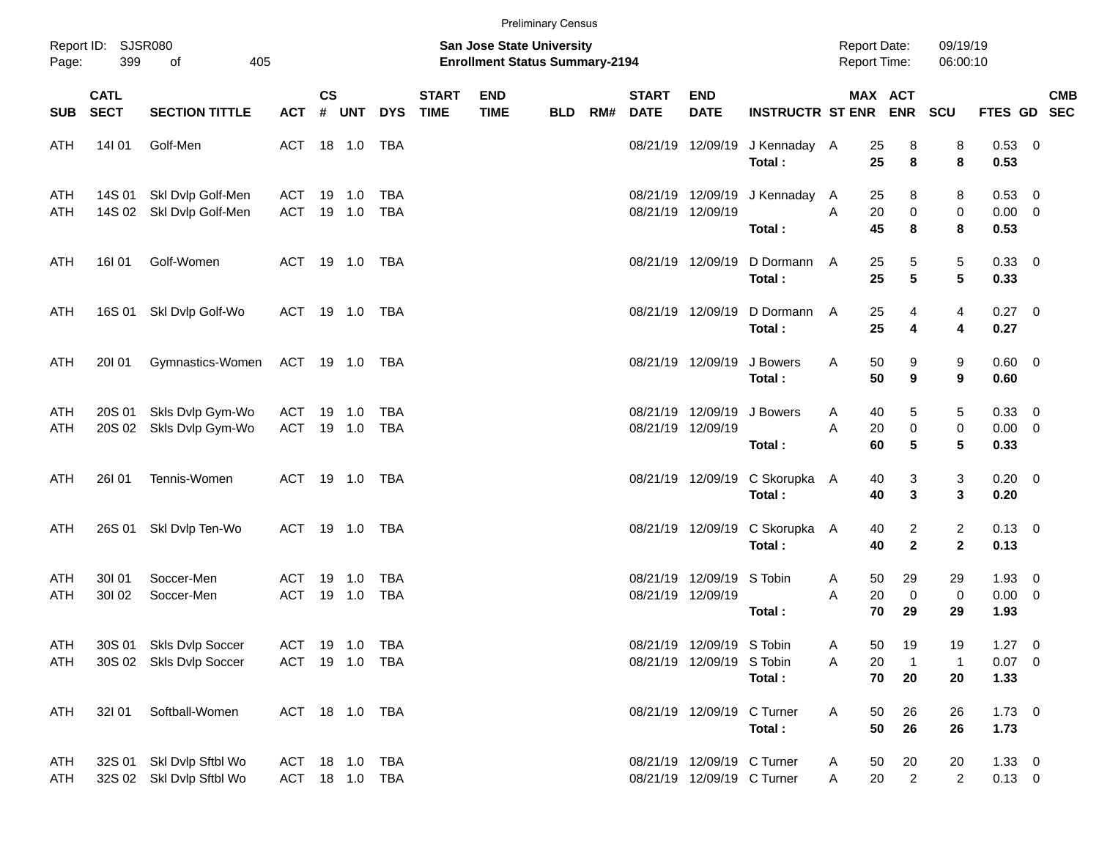|                   |                            |                                                      |                   |               |               |                                  |                             |                                                                           | <b>Preliminary Census</b> |     |                             |                                                          |                                          |                                            |                          |                                |                                 |            |
|-------------------|----------------------------|------------------------------------------------------|-------------------|---------------|---------------|----------------------------------|-----------------------------|---------------------------------------------------------------------------|---------------------------|-----|-----------------------------|----------------------------------------------------------|------------------------------------------|--------------------------------------------|--------------------------|--------------------------------|---------------------------------|------------|
| Page:             | Report ID: SJSR080<br>399  | 405<br>οf                                            |                   |               |               |                                  |                             | <b>San Jose State University</b><br><b>Enrollment Status Summary-2194</b> |                           |     |                             |                                                          |                                          | <b>Report Date:</b><br><b>Report Time:</b> |                          | 09/19/19<br>06:00:10           |                                 |            |
| <b>SUB</b>        | <b>CATL</b><br><b>SECT</b> | <b>SECTION TITTLE</b>                                | ACT # UNT         | $\mathsf{cs}$ |               | <b>DYS</b>                       | <b>START</b><br><b>TIME</b> | <b>END</b><br><b>TIME</b>                                                 | <b>BLD</b>                | RM# | <b>START</b><br><b>DATE</b> | <b>END</b><br><b>DATE</b>                                | <b>INSTRUCTR ST ENR ENR</b>              |                                            | MAX ACT                  | <b>SCU</b>                     | FTES GD SEC                     | <b>CMB</b> |
| ATH               | 14 01                      | Golf-Men                                             | ACT 18 1.0        |               |               | TBA                              |                             |                                                                           |                           |     |                             | 08/21/19 12/09/19                                        | J Kennaday A<br>Total:                   | 25<br>25                                   | 8<br>8                   | 8<br>8                         | 0.53 0<br>0.53                  |            |
| ATH<br>ATH        | 14S 01                     | Skl Dvlp Golf-Men<br>14S 02 Skl Dvlp Golf-Men        | ACT<br>ACT        | 19            | 1.0<br>19 1.0 | <b>TBA</b><br><b>TBA</b>         |                             |                                                                           |                           |     |                             | 08/21/19 12/09/19<br>08/21/19 12/09/19                   | J Kennaday<br>Total:                     | 25<br>A<br>20<br>A<br>45                   | 8<br>$\pmb{0}$<br>8      | 8<br>0<br>8                    | 0.53 0<br>$0.00 \t 0$<br>0.53   |            |
| ATH               | 16101                      | Golf-Women                                           | ACT 19 1.0        |               |               | TBA                              |                             |                                                                           |                           |     |                             | 08/21/19 12/09/19                                        | D Dormann<br>Total:                      | 25<br>A<br>25                              | 5<br>$5\phantom{1}$      | 5<br>5                         | 0.33 0<br>0.33                  |            |
| ATH               | 16S 01                     | Skl Dvlp Golf-Wo                                     | ACT 19 1.0        |               |               | TBA                              |                             |                                                                           |                           |     |                             | 08/21/19 12/09/19                                        | D Dormann<br>Total:                      | 25<br>A<br>25                              | 4<br>4                   | 4<br>4                         | $0.27$ 0<br>0.27                |            |
| ATH               | 20101                      | Gymnastics-Women                                     | ACT 19 1.0 TBA    |               |               |                                  |                             |                                                                           |                           |     |                             | 08/21/19 12/09/19                                        | J Bowers<br>Total:                       | 50<br>Α<br>50                              | 9<br>9                   | 9<br>9                         | $0.60 \quad 0$<br>0.60          |            |
| ATH<br>ATH        | 20S 01                     | Skls Dvlp Gym-Wo<br>20S 02 Skls Dvlp Gym-Wo          | ACT<br>ACT        | 19            | 1.0<br>19 1.0 | <b>TBA</b><br><b>TBA</b>         |                             |                                                                           |                           |     |                             | 08/21/19 12/09/19<br>08/21/19 12/09/19                   | J Bowers<br>Total:                       | 40<br>Α<br>A<br>20<br>60                   | 5<br>$\pmb{0}$<br>5      | 5<br>0<br>5                    | 0.33 0<br>$0.00 \t 0$<br>0.33   |            |
| ATH               | <b>26101</b>               | Tennis-Women                                         |                   |               |               | ACT 19 1.0 TBA                   |                             |                                                                           |                           |     |                             |                                                          | 08/21/19 12/09/19 C Skorupka<br>Total:   | 40<br>A<br>40                              | 3<br>$\mathbf{3}$        | 3<br>3                         | $0.20 \ 0$<br>0.20              |            |
| ATH               | 26S 01                     | Skl Dvlp Ten-Wo                                      | ACT 19 1.0        |               |               | TBA                              |                             |                                                                           |                           |     |                             |                                                          | 08/21/19 12/09/19 C Skorupka A<br>Total: | 40<br>40                                   | 2<br>$\mathbf{2}$        | $\overline{c}$<br>$\mathbf{2}$ | $0.13 \ 0$<br>0.13              |            |
| ATH<br>ATH        | 30101<br>30102             | Soccer-Men<br>Soccer-Men                             | ACT<br><b>ACT</b> | 19            | 1.0<br>19 1.0 | <b>TBA</b><br><b>TBA</b>         |                             |                                                                           |                           |     |                             | 08/21/19 12/09/19 S Tobin<br>08/21/19 12/09/19           | Total:                                   | 50<br>A<br>Α<br>20<br>70                   | 29<br>0<br>29            | 29<br>$\mathbf 0$<br>29        | $1.93$ 0<br>$0.00 \t 0$<br>1.93 |            |
| ATH<br><b>ATH</b> |                            | 30S 01 Skls Dvlp Soccer<br>30S 02 Skls Dvlp Soccer   |                   |               |               | ACT 19 1.0 TBA<br>ACT 19 1.0 TBA |                             |                                                                           |                           |     |                             | 08/21/19 12/09/19 S Tobin<br>08/21/19 12/09/19 S Tobin   | Total:                                   | Α<br>50<br>Α<br>20<br>70                   | 19<br>$\mathbf{1}$<br>20 | 19<br>$\mathbf{1}$<br>20       | $1.27 \t 0$<br>$0.07$ 0<br>1.33 |            |
| ATH               | 32101                      | Softball-Women                                       |                   |               |               | ACT 18 1.0 TBA                   |                             |                                                                           |                           |     |                             | 08/21/19 12/09/19 C Turner                               | Total:                                   | 50<br>A<br>50                              | 26<br>26                 | 26<br>26                       | $1.73 \t 0$<br>1.73             |            |
| ATH<br>ATH        |                            | 32S 01 SkI Dvlp Sftbl Wo<br>32S 02 Skl Dvlp Sftbl Wo | ACT               |               |               | ACT 18 1.0 TBA                   |                             |                                                                           |                           |     |                             | 08/21/19 12/09/19 C Turner<br>08/21/19 12/09/19 C Turner |                                          | 50<br>A<br>20<br>A                         | 20<br>$\overline{2}$     | 20<br>$\overline{2}$           | $1.33 \ 0$<br>$0.13 \ 0$        |            |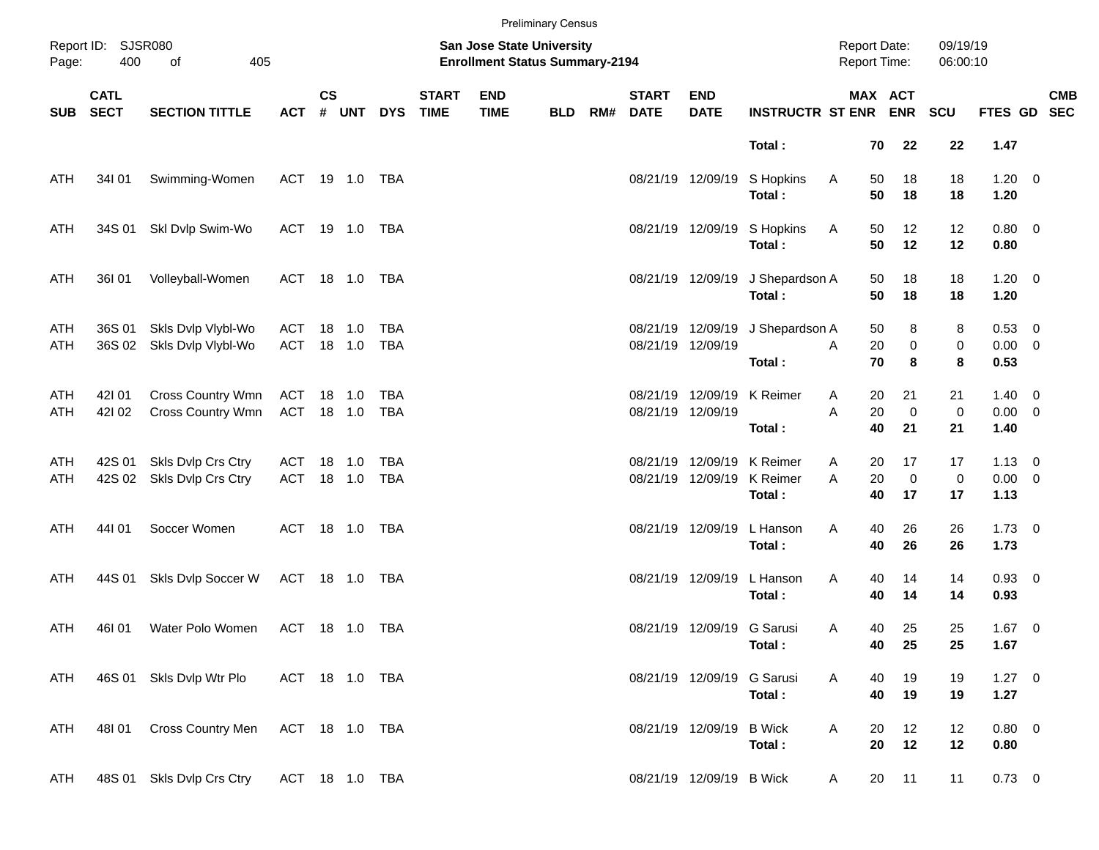|            |                            |                                          |                   |               |                  |                |                             |                                                                    | <b>Preliminary Census</b> |     |                             |                                        |                                |                                     |                         |                         |                                   |            |
|------------|----------------------------|------------------------------------------|-------------------|---------------|------------------|----------------|-----------------------------|--------------------------------------------------------------------|---------------------------|-----|-----------------------------|----------------------------------------|--------------------------------|-------------------------------------|-------------------------|-------------------------|-----------------------------------|------------|
| Page:      | Report ID: SJSR080<br>400  | 405<br>of                                |                   |               |                  |                |                             | San Jose State University<br><b>Enrollment Status Summary-2194</b> |                           |     |                             |                                        |                                | <b>Report Date:</b><br>Report Time: |                         | 09/19/19<br>06:00:10    |                                   |            |
| <b>SUB</b> | <b>CATL</b><br><b>SECT</b> | <b>SECTION TITTLE</b>                    | <b>ACT</b>        | $\mathsf{cs}$ | # UNT            | <b>DYS</b>     | <b>START</b><br><b>TIME</b> | <b>END</b><br><b>TIME</b>                                          | <b>BLD</b>                | RM# | <b>START</b><br><b>DATE</b> | <b>END</b><br><b>DATE</b>              | <b>INSTRUCTR ST ENR ENR</b>    |                                     | MAX ACT                 | <b>SCU</b>              | FTES GD SEC                       | <b>CMB</b> |
|            |                            |                                          |                   |               |                  |                |                             |                                                                    |                           |     |                             |                                        | Total:                         | 70                                  | 22                      | 22                      | 1.47                              |            |
| ATH        | 34I 01                     | Swimming-Women                           |                   |               |                  | ACT 19 1.0 TBA |                             |                                                                    |                           |     |                             | 08/21/19 12/09/19                      | S Hopkins<br>Total:            | A<br>50<br>50                       | 18<br>18                | 18<br>18                | $1.20 \t 0$<br>1.20               |            |
| ATH        | 34S 01                     | Skl Dvlp Swim-Wo                         |                   |               |                  | ACT 19 1.0 TBA |                             |                                                                    |                           |     |                             | 08/21/19 12/09/19                      | S Hopkins<br>Total:            | A<br>50<br>50                       | 12<br>12                | 12<br>12                | $0.80 \ 0$<br>0.80                |            |
| ATH        | 36I 01                     | Volleyball-Women                         |                   |               |                  | ACT 18 1.0 TBA |                             |                                                                    |                           |     |                             | 08/21/19 12/09/19                      | J Shepardson A<br>Total:       | 50<br>50                            | 18<br>18                | 18<br>18                | $1.20 \t 0$<br>1.20               |            |
| ATH<br>ATH | 36S 01<br>36S 02           | Skls Dvlp Vlybl-Wo<br>Skls Dvlp Vlybl-Wo | ACT<br>ACT        |               | 18 1.0<br>18 1.0 | TBA<br>TBA     |                             |                                                                    |                           |     |                             | 08/21/19 12/09/19<br>08/21/19 12/09/19 | J Shepardson A<br>Total:       | 50<br>A<br>20<br>70                 | 8<br>0<br>8             | 8<br>0<br>8             | 0.53 0<br>$0.00 \t 0$<br>0.53     |            |
| ATH<br>ATH | 42101<br>421 02            | Cross Country Wmn<br>Cross Country Wmn   | ACT<br>ACT 18 1.0 |               | 18 1.0           | TBA<br>TBA     |                             |                                                                    |                           |     |                             | 08/21/19 12/09/19<br>08/21/19 12/09/19 | K Reimer<br>Total:             | 20<br>A<br>20<br>A<br>40            | 21<br>$\mathbf 0$<br>21 | 21<br>$\mathbf 0$<br>21 | $1.40 \ 0$<br>$0.00 \t 0$<br>1.40 |            |
| ATH<br>ATH | 42S 01<br>42S 02           | Skls Dvlp Crs Ctry<br>Skls Dvlp Crs Ctry | ACT<br>ACT        |               | 18 1.0<br>18 1.0 | TBA<br>TBA     |                             |                                                                    |                           |     |                             | 08/21/19 12/09/19<br>08/21/19 12/09/19 | K Reimer<br>K Reimer<br>Total: | Α<br>20<br>A<br>20<br>40            | 17<br>0<br>17           | 17<br>0<br>17           | $1.13 \ 0$<br>$0.00 \t 0$<br>1.13 |            |
| ATH        | 44101                      | Soccer Women                             |                   |               |                  | ACT 18 1.0 TBA |                             |                                                                    |                           |     |                             | 08/21/19 12/09/19                      | L Hanson<br>Total:             | Α<br>40<br>40                       | 26<br>26                | 26<br>26                | $1.73 \t 0$<br>1.73               |            |
| ATH        | 44S 01                     | Skls Dvlp Soccer W                       |                   |               |                  | ACT 18 1.0 TBA |                             |                                                                    |                           |     |                             | 08/21/19 12/09/19                      | L Hanson<br>Total:             | Α<br>40<br>40                       | 14<br>14                | 14<br>14                | 0.93 0<br>0.93                    |            |
| ATH        | 46I 01                     | Water Polo Women                         |                   |               |                  | ACT 18 1.0 TBA |                             |                                                                    |                           |     |                             | 08/21/19 12/09/19 G Sarusi             | Total:                         | 40<br>A<br>40                       | 25<br>25                | 25<br>25                | $1.67$ 0<br>1.67                  |            |
| ATH        |                            | 46S 01 Skls Dvlp Wtr Plo                 |                   |               |                  | ACT 18 1.0 TBA |                             |                                                                    |                           |     |                             | 08/21/19 12/09/19                      | G Sarusi<br>Total:             | A<br>40<br>40                       | 19<br>19                | 19<br>19                | $1.27 \t 0$<br>1.27               |            |
| ATH        | 48I 01                     | <b>Cross Country Men</b>                 |                   |               |                  | ACT 18 1.0 TBA |                             |                                                                    |                           |     |                             | 08/21/19 12/09/19                      | <b>B</b> Wick<br>Total:        | A<br>20<br>20                       | 12<br>12                | 12<br>12                | $0.80 \t 0$<br>0.80               |            |
| ATH        |                            | 48S 01 Skls Dvlp Crs Ctry                |                   |               |                  | ACT 18 1.0 TBA |                             |                                                                    |                           |     |                             | 08/21/19 12/09/19 B Wick               |                                | 20<br>A                             | 11                      | 11                      | $0.73 \ 0$                        |            |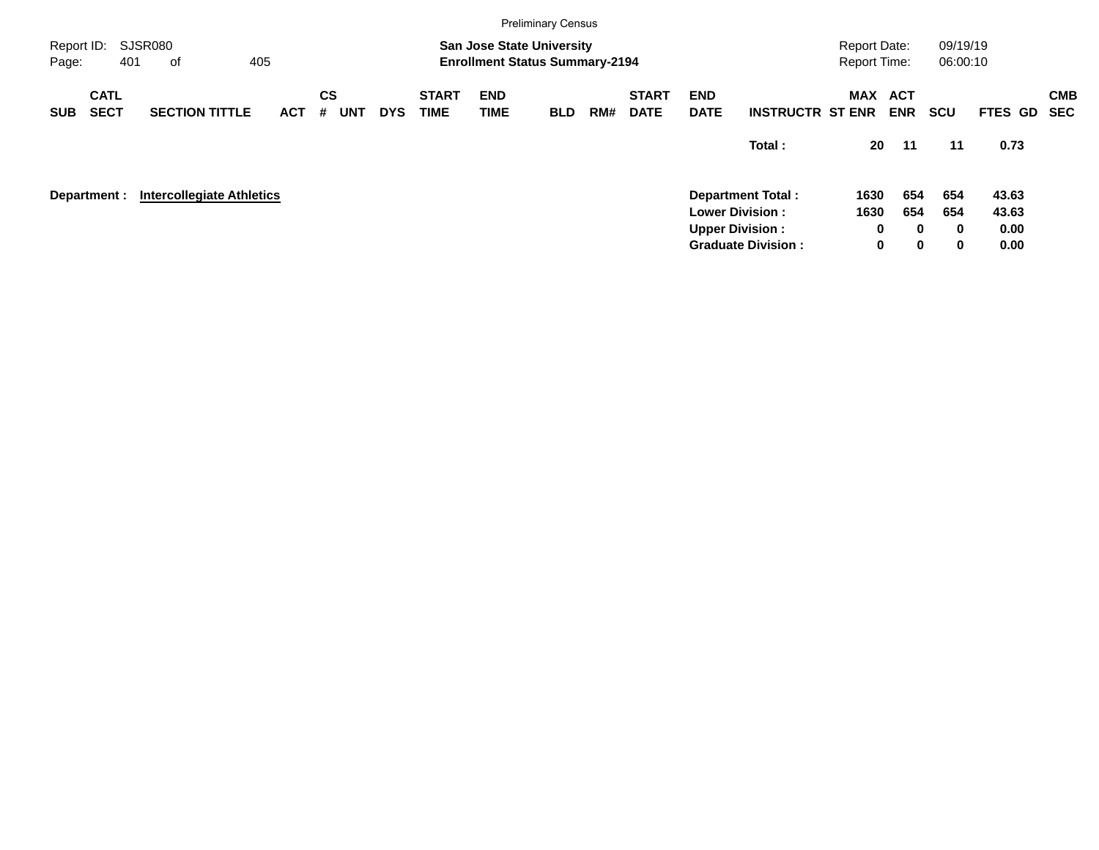|                     |                            |     |                                  |            |         |            |            |                             |                           | <b>Preliminary Census</b>                                                 |     |                             |                           |                           |                                            |                          |                      |             |            |
|---------------------|----------------------------|-----|----------------------------------|------------|---------|------------|------------|-----------------------------|---------------------------|---------------------------------------------------------------------------|-----|-----------------------------|---------------------------|---------------------------|--------------------------------------------|--------------------------|----------------------|-------------|------------|
| Report ID:<br>Page: |                            | 401 | SJSR080<br>оf                    | 405        |         |            |            |                             |                           | <b>San Jose State University</b><br><b>Enrollment Status Summary-2194</b> |     |                             |                           |                           | <b>Report Date:</b><br><b>Report Time:</b> |                          | 09/19/19<br>06:00:10 |             |            |
| <b>SUB</b>          | <b>CATL</b><br><b>SECT</b> |     | <b>SECTION TITTLE</b>            | <b>ACT</b> | CS<br># | <b>UNT</b> | <b>DYS</b> | <b>START</b><br><b>TIME</b> | <b>END</b><br><b>TIME</b> | <b>BLD</b>                                                                | RM# | <b>START</b><br><b>DATE</b> | <b>END</b><br><b>DATE</b> | <b>INSTRUCTR ST ENR</b>   | MAX                                        | <b>ACT</b><br><b>ENR</b> | <b>SCU</b>           | FTES GD SEC | <b>CMB</b> |
|                     |                            |     |                                  |            |         |            |            |                             |                           |                                                                           |     |                             |                           | Total:                    | 20                                         | 11                       | 11                   | 0.73        |            |
| Department :        |                            |     | <b>Intercollegiate Athletics</b> |            |         |            |            |                             |                           |                                                                           |     |                             |                           | <b>Department Total:</b>  | 1630                                       | 654                      | 654                  | 43.63       |            |
|                     |                            |     |                                  |            |         |            |            |                             |                           |                                                                           |     |                             |                           | <b>Lower Division:</b>    | 1630                                       | 654                      | 654                  | 43.63       |            |
|                     |                            |     |                                  |            |         |            |            |                             |                           |                                                                           |     |                             |                           | <b>Upper Division:</b>    | 0                                          | $\bf{0}$                 | $\bf{0}$             | 0.00        |            |
|                     |                            |     |                                  |            |         |            |            |                             |                           |                                                                           |     |                             |                           | <b>Graduate Division:</b> | 0                                          | $\mathbf 0$              | 0                    | 0.00        |            |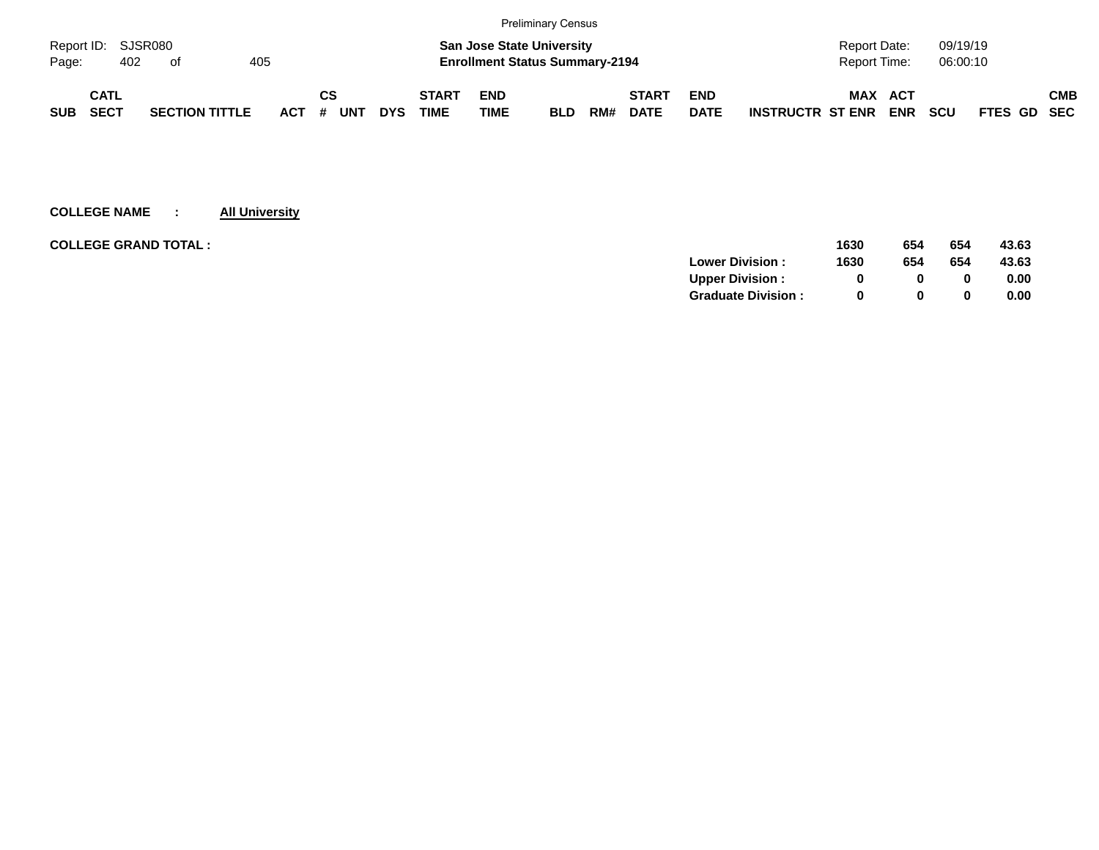|                    |             |     |                       |     |            |    |            |            |              |             | <b>Preliminary Census</b>             |     |              |             |                         |              |            |            |             |            |
|--------------------|-------------|-----|-----------------------|-----|------------|----|------------|------------|--------------|-------------|---------------------------------------|-----|--------------|-------------|-------------------------|--------------|------------|------------|-------------|------------|
| Report ID: SJSR080 |             |     |                       |     |            |    |            |            |              |             | <b>San Jose State University</b>      |     |              |             |                         | Report Date: |            | 09/19/19   |             |            |
| Page:              |             | 402 | - of                  | 405 |            |    |            |            |              |             | <b>Enrollment Status Summary-2194</b> |     |              |             |                         | Report Time: |            | 06:00:10   |             |            |
|                    | <b>CATL</b> |     |                       |     |            | СS |            |            | <b>START</b> | <b>END</b>  |                                       |     | <b>START</b> | <b>END</b>  |                         | <b>MAX</b>   | ACT        |            |             | <b>CMB</b> |
| <b>SUB</b>         | <b>SECT</b> |     | <b>SECTION TITTLE</b> |     | <b>ACT</b> | #  | <b>UNT</b> | <b>DYS</b> | <b>TIME</b>  | <b>TIME</b> | <b>BLD</b>                            | RM# | <b>DATE</b>  | <b>DATE</b> | <b>INSTRUCTR ST ENR</b> |              | <b>ENR</b> | <b>SCU</b> | FTES GD SEC |            |

| 43.63 |
|-------|
| 43.63 |
| 0.00  |
| 0.00  |
|       |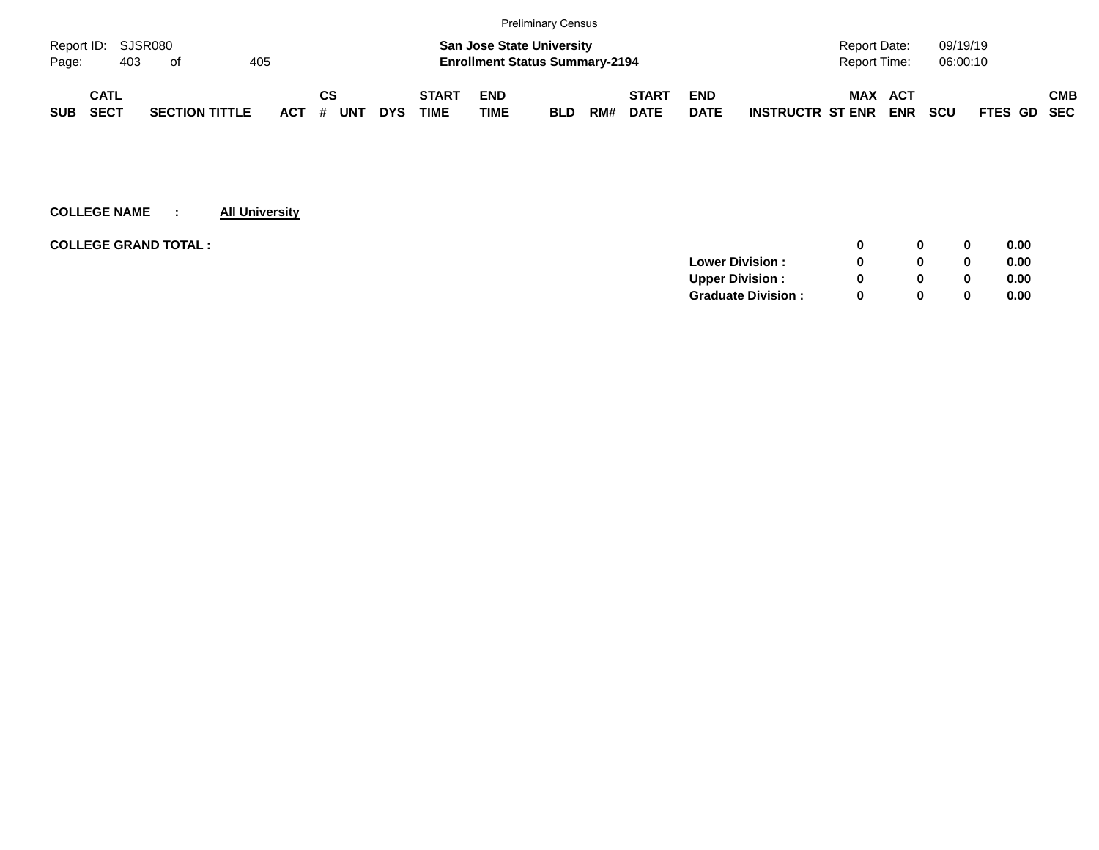|            |                    |                       |     |         |            |            |              |             | <b>Preliminary Census</b>             |     |              |             |                         |              |            |            |                    |            |
|------------|--------------------|-----------------------|-----|---------|------------|------------|--------------|-------------|---------------------------------------|-----|--------------|-------------|-------------------------|--------------|------------|------------|--------------------|------------|
|            | Report ID: SJSR080 |                       |     |         |            |            |              |             | <b>San Jose State University</b>      |     |              |             |                         | Report Date: |            | 09/19/19   |                    |            |
| Page:      | 403                | - of                  | 405 |         |            |            |              |             | <b>Enrollment Status Summary-2194</b> |     |              |             |                         | Report Time: |            | 06:00:10   |                    |            |
|            | <b>CATL</b>        |                       |     |         | СS         |            | <b>START</b> | <b>END</b>  |                                       |     | <b>START</b> | <b>END</b>  |                         | MAX ACT      |            |            |                    | <b>CMB</b> |
| <b>SUB</b> | <b>SECT</b>        | <b>SECTION TITTLE</b> |     | $ACT$ # | <b>UNT</b> | <b>DYS</b> | <b>TIME</b>  | <b>TIME</b> | <b>BLD</b>                            | RM# | <b>DATE</b>  | <b>DATE</b> | <b>INSTRUCTR ST ENR</b> |              | <b>ENR</b> | <b>SCU</b> | <b>FTES GD SEC</b> |            |

| <b>COLLEGE GRAND TOTAL :</b> |                           |          | 0        | 0.00 |
|------------------------------|---------------------------|----------|----------|------|
|                              | <b>Lower Division:</b>    |          | $\bf{0}$ | 0.00 |
|                              | <b>Upper Division:</b>    |          | $\bf{0}$ | 0.00 |
|                              | <b>Graduate Division:</b> | $\Omega$ | 0        | 0.00 |
|                              |                           |          |          |      |